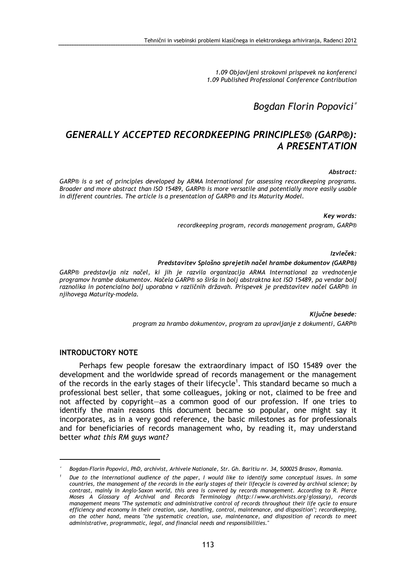1.09 Objavljeni strokovni prispevek na konferenci 1.09 Published Professional Conference Contribution

Bogdan Florin Popovici<sup>∗</sup>

# GENERALLY ACCEPTED RECORDKEEPING PRINCIPLES® (GARP®): A PRESENTATION

Abstract:

GARP® is a set of principles developed by ARMA International for assessing recordkeeping programs. Broader and more abstract than ISO 15489, GARP® is more versatile and potentially more easily usable in different countries. The article is a presentation of GARP® and its Maturity Model.

Key words:

recordkeeping program, records management program, GARP®

Izvleček:

#### Predstavitev Splošno sprejetih načel hrambe dokumentov (GARP®)

GARP® predstavlja niz načel, ki jih je razvila organizacija ARMA International za vrednotenje programov hrambe dokumentov. Načela GARP® so širša in bolj abstraktna kot ISO 15489, pa vendar bolj raznolika in potencialno bolj uporabna v različnih državah. Prispevek je predstavitev načel GARP® in njihovega Maturity-modela.

> Ključne besede: program za hrambo dokumentov, program za upravljanje z dokumenti, GARP®

#### INTRODUCTORY NOTE

 $\overline{a}$ 

Perhaps few people foresaw the extraordinary impact of ISO 15489 over the development and the worldwide spread of records management or the management of the records in the early stages of their lifecycle<sup>1</sup>. This standard became so much a professional best seller, that some colleagues, joking or not, claimed to be free and not affected by copyright—as a common good of our profession. If one tries to identify the main reasons this document became so popular, one might say it incorporates, as in a very good reference, the basic milestones as for professionals and for beneficiaries of records management who, by reading it, may understand better what this RM guys want?

<sup>∗</sup>Bogdan-Florin Popovici, PhD, archivist, Arhivele Nationale, Str. Gh. Baritiu nr. 34, 500025 Brasov, Romania.

<sup>1</sup> Due to the international audience of the paper, I would like to identify some conceptual issues. In some countries, the management of the records in the early stages of their lifecycle is covered by archival science; by contrast, mainly in Anglo-Saxon world, this area is covered by records management. According to R. Pierce Moses A Glossary of Archival and Records Terminology (http://www.archivists.org/glossary), records management means "The systematic and administrative control of records throughout their life cycle to ensure efficiency and economy in their creation, use, handling, control, maintenance, and disposition"; recordkeeping, on the other hand, means "the systematic creation, use, maintenance, and disposition of records to meet administrative, programmatic, legal, and financial needs and responsibilities."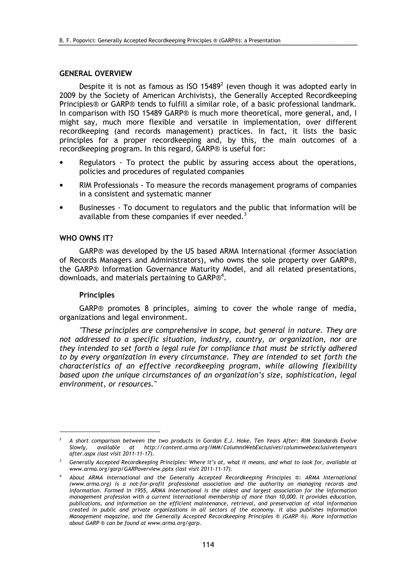#### GENERAL OVERVIEW

Despite it is not as famous as ISO 15489 $^2$  (even though it was adopted early in 2009 by the Society of American Archivists), the Generally Accepted Recordkeeping Principles® or GARP® tends to fulfill a similar role, of a basic professional landmark. In comparison with ISO 15489 GARP® is much more theoretical, more general, and, I might say, much more flexible and versatile in implementation, over different recordkeeping (and records management) practices. In fact, it lists the basic principles for a proper recordkeeping and, by this, the main outcomes of a recordkeeping program. In this regard, GARP® is useful for:

- Regulators To protect the public by assuring access about the operations, policies and procedures of regulated companies
- RIM Professionals To measure the records management programs of companies in a consistent and systematic manner
- Businesses To document to regulators and the public that information will be available from these companies if ever needed.<sup>3</sup>

#### WHO OWNS IT?

GARP® was developed by the US based ARMA International (former Association of Records Managers and Administrators), who owns the sole property over GARP®, the GARP® Information Governance Maturity Model, and all related presentations, downloads, and materials pertaining to GARP $@^4$ .

#### Principles

 $\overline{a}$ 

GARP® promotes 8 principles, aiming to cover the whole range of media, organizations and legal environment.

"These principles are comprehensive in scope, but general in nature. They are not addressed to a specific situation, industry, country, or organization, nor are they intended to set forth a legal rule for compliance that must be strictly adhered to by every organization in every circumstance. They are intended to set forth the characteristics of an effective recordkeeping program, while allowing flexibility based upon the unique circumstances of an organization's size, sophistication, legal environment, or resources."

<sup>2</sup> A short comparison between the two products in Gordon E.J. Hoke, Ten Years After: RIM Standards Evolve Slowly, available at http://content.arma.org/IMM/ColumnsWebExclusives/columnwebexclusivetenyears after.aspx (last visit 2011-11-17).

 $^3$  Generally Accepted Recordkeeping Principles: Where it's at, what it means, and what to look for, available at www.arma.org/garp/GARPoverview.pptx (last visit 2011-11-17).

<sup>4</sup> About ARMA International and the Generally Accepted Recordkeeping Principles ®: ARMA International (www.arma.org) is a not-for-profit professional association and the authority on managing records and information. Formed in 1955, ARMA International is the oldest and largest association for the information management profession with a current international membership of more than 10,000. It provides education, publications, and information on the efficient maintenance, retrieval, and preservation of vital information created in public and private organizations in all sectors of the economy. It also publishes Information Management magazine, and the Generally Accepted Recordkeeping Principles ® (GARP ®). More information about GARP ® can be found at www.arma.org/garp.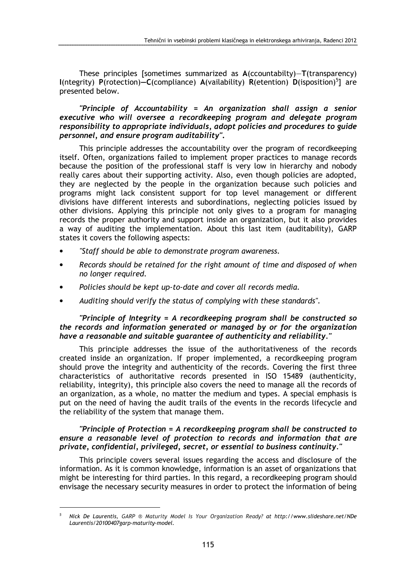These principles [sometimes summarized as A(ccountabilty)—T(transparency)  $I(n$ tegrity) P(rotection)–C(compliance) A(vailability) R(etention) D(isposition)<sup>5</sup>] are presented below.

"Principle of Accountability = An organization shall assign a senior executive who will oversee a recordkeeping program and delegate program responsibility to appropriate individuals, adopt policies and procedures to guide personnel, and ensure program auditability".

This principle addresses the accountability over the program of recordkeeping itself. Often, organizations failed to implement proper practices to manage records because the position of the professional staff is very low in hierarchy and nobody really cares about their supporting activity. Also, even though policies are adopted, they are neglected by the people in the organization because such policies and programs might lack consistent support for top level management or different divisions have different interests and subordinations, neglecting policies issued by other divisions. Applying this principle not only gives to a program for managing records the proper authority and support inside an organization, but it also provides a way of auditing the implementation. About this last item (auditability), GARP states it covers the following aspects:

- "Staff should be able to demonstrate program awareness.
- Records should be retained for the right amount of time and disposed of when no longer required.
- Policies should be kept up-to-date and cover all records media.
- Auditing should verify the status of complying with these standards".

### "Principle of Integrity = A recordkeeping program shall be constructed so the records and information generated or managed by or for the organization have a reasonable and suitable guarantee of authenticity and reliability."

This principle addresses the issue of the authoritativeness of the records created inside an organization. If proper implemented, a recordkeeping program should prove the integrity and authenticity of the records. Covering the first three characteristics of authoritative records presented in ISO 15489 (authenticity, reliability, integrity), this principle also covers the need to manage all the records of an organization, as a whole, no matter the medium and types. A special emphasis is put on the need of having the audit trails of the events in the records lifecycle and the reliability of the system that manage them.

### "Principle of Protection = A recordkeeping program shall be constructed to ensure a reasonable level of protection to records and information that are private, confidential, privileged, secret, or essential to business continuity."

This principle covers several issues regarding the access and disclosure of the information. As it is common knowledge, information is an asset of organizations that might be interesting for third parties. In this regard, a recordkeeping program should envisage the necessary security measures in order to protect the information of being

 $\overline{a}$ 

<sup>5</sup> Nick De Laurentis, GARP ® Maturity Model Is Your Organization Ready? at http://www.slideshare.net/NDe Laurentis/20100407garp-maturity-model.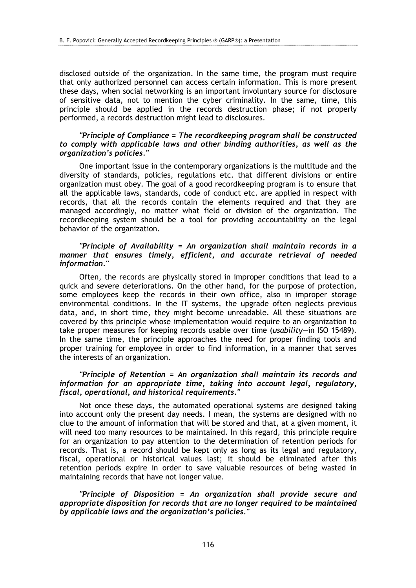disclosed outside of the organization. In the same time, the program must require that only authorized personnel can access certain information. This is more present these days, when social networking is an important involuntary source for disclosure of sensitive data, not to mention the cyber criminality. In the same, time, this principle should be applied in the records destruction phase; if not properly performed, a records destruction might lead to disclosures.

#### "Principle of Compliance = The recordkeeping program shall be constructed to comply with applicable laws and other binding authorities, as well as the organization's policies."

One important issue in the contemporary organizations is the multitude and the diversity of standards, policies, regulations etc. that different divisions or entire organization must obey. The goal of a good recordkeeping program is to ensure that all the applicable laws, standards, code of conduct etc. are applied in respect with records, that all the records contain the elements required and that they are managed accordingly, no matter what field or division of the organization. The recordkeeping system should be a tool for providing accountability on the legal behavior of the organization.

#### "Principle of Availability = An organization shall maintain records in a manner that ensures timely, efficient, and accurate retrieval of needed information."

Often, the records are physically stored in improper conditions that lead to a quick and severe deteriorations. On the other hand, for the purpose of protection, some employees keep the records in their own office, also in improper storage environmental conditions. In the IT systems, the upgrade often neglects previous data, and, in short time, they might become unreadable. All these situations are covered by this principle whose implementation would require to an organization to take proper measures for keeping records usable over time (usability—in ISO 15489). In the same time, the principle approaches the need for proper finding tools and proper training for employee in order to find information, in a manner that serves the interests of an organization.

#### "Principle of Retention = An organization shall maintain its records and information for an appropriate time, taking into account legal, regulatory, fiscal, operational, and historical requirements."

Not once these days, the automated operational systems are designed taking into account only the present day needs. I mean, the systems are designed with no clue to the amount of information that will be stored and that, at a given moment, it will need too many resources to be maintained. In this regard, this principle require for an organization to pay attention to the determination of retention periods for records. That is, a record should be kept only as long as its legal and regulatory, fiscal, operational or historical values last; it should be eliminated after this retention periods expire in order to save valuable resources of being wasted in maintaining records that have not longer value.

"Principle of Disposition = An organization shall provide secure and appropriate disposition for records that are no longer required to be maintained by applicable laws and the organization's policies."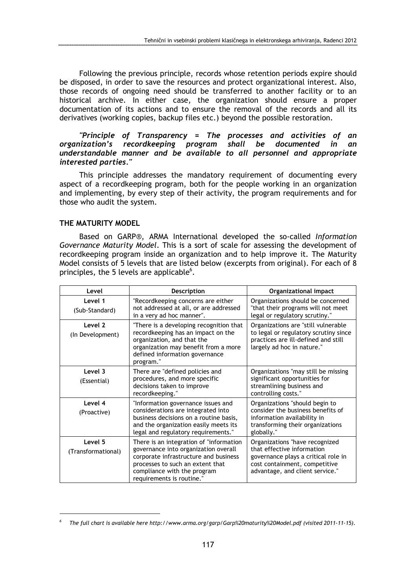Following the previous principle, records whose retention periods expire should be disposed, in order to save the resources and protect organizational interest. Also, those records of ongoing need should be transferred to another facility or to an historical archive. In either case, the organization should ensure a proper documentation of its actions and to ensure the removal of the records and all its derivatives (working copies, backup files etc.) beyond the possible restoration.

"Principle of Transparency = The processes and activities of an organization's recordkeeping program shall be documented in an understandable manner and be available to all personnel and appropriate interested parties."

This principle addresses the mandatory requirement of documenting every aspect of a recordkeeping program, both for the people working in an organization and implementing, by every step of their activity, the program requirements and for those who audit the system.

#### THE MATURITY MODEL

 $\overline{a}$ 

Based on GARP®, ARMA International developed the so-called Information Governance Maturity Model. This is a sort of scale for assessing the development of recordkeeping program inside an organization and to help improve it. The Maturity Model consists of 5 levels that are listed below (excerpts from original). For each of 8 principles, the 5 levels are applicable $^6$ .

| Level                         | <b>Description</b>                                                                                                                                                                                                       | Organizational impact                                                                                                                                                   |
|-------------------------------|--------------------------------------------------------------------------------------------------------------------------------------------------------------------------------------------------------------------------|-------------------------------------------------------------------------------------------------------------------------------------------------------------------------|
| Level 1<br>(Sub-Standard)     | "Recordkeeping concerns are either<br>not addressed at all, or are addressed<br>in a very ad hoc manner".                                                                                                                | Organizations should be concerned<br>"that their programs will not meet<br>legal or regulatory scrutiny."                                                               |
| Level 2<br>(In Development)   | "There is a developing recognition that<br>recordkeeping has an impact on the<br>organization, and that the<br>organization may benefit from a more<br>defined information governance<br>program."                       | Organizations are "still vulnerable<br>to legal or regulatory scrutiny since<br>practices are ill-defined and still<br>largely ad hoc in nature."                       |
| Level 3<br>(Essential)        | There are "defined policies and<br>procedures, and more specific<br>decisions taken to improve<br>recordkeeping."                                                                                                        | Organizations "may still be missing<br>significant opportunities for<br>streamlining business and<br>controlling costs."                                                |
| Level 4<br>(Proactive)        | "Information governance issues and<br>considerations are integrated into<br>business decisions on a routine basis,<br>and the organization easily meets its<br>legal and regulatory requirements."                       | Organizations "should begin to<br>consider the business benefits of<br>information availability in<br>transforming their organizations<br>globally."                    |
| Level 5<br>(Transformational) | There is an integration of "information<br>governance into organization overall<br>corporate infrastructure and business<br>processes to such an extent that<br>compliance with the program<br>requirements is routine." | Organizations "have recognized<br>that effective information<br>governance plays a critical role in<br>cost containment, competitive<br>advantage, and client service." |

<sup>6</sup> The full chart is available here http://www.arma.org/garp/Garp%20maturity%20Model.pdf (visited 2011-11-15).